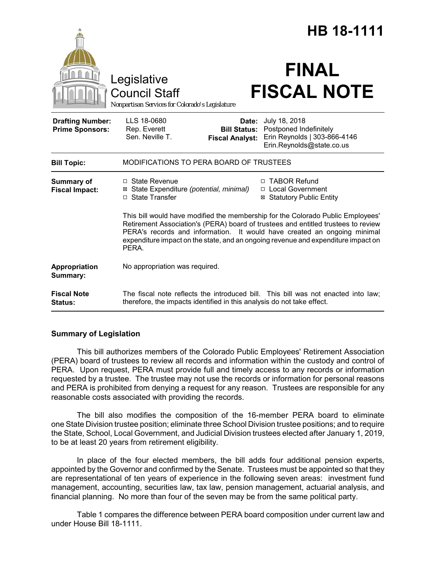|                                                   |                                                                                                                                                                                                                                                                                                                                                |                                                                                                                                                                | HB 18-1111 |
|---------------------------------------------------|------------------------------------------------------------------------------------------------------------------------------------------------------------------------------------------------------------------------------------------------------------------------------------------------------------------------------------------------|----------------------------------------------------------------------------------------------------------------------------------------------------------------|------------|
|                                                   | Legislative<br><b>Council Staff</b><br>Nonpartisan Services for Colorado's Legislature                                                                                                                                                                                                                                                         | <b>FINAL</b><br><b>FISCAL NOTE</b>                                                                                                                             |            |
| <b>Drafting Number:</b><br><b>Prime Sponsors:</b> | LLS 18-0680<br>Rep. Everett<br>Sen. Neville T.                                                                                                                                                                                                                                                                                                 | July 18, 2018<br>Date:<br>Postponed Indefinitely<br><b>Bill Status:</b><br>Erin Reynolds   303-866-4146<br><b>Fiscal Analyst:</b><br>Erin.Reynolds@state.co.us |            |
| <b>Bill Topic:</b>                                | MODIFICATIONS TO PERA BOARD OF TRUSTEES                                                                                                                                                                                                                                                                                                        |                                                                                                                                                                |            |
| <b>Summary of</b><br><b>Fiscal Impact:</b>        | $\Box$ State Revenue<br>⊠ State Expenditure (potential, minimal)<br>□ State Transfer                                                                                                                                                                                                                                                           | □ TABOR Refund<br>□ Local Government<br><b>Statutory Public Entity</b><br>⊠                                                                                    |            |
|                                                   | This bill would have modified the membership for the Colorado Public Employees'<br>Retirement Association's (PERA) board of trustees and entitled trustees to review<br>PERA's records and information. It would have created an ongoing minimal<br>expenditure impact on the state, and an ongoing revenue and expenditure impact on<br>PERA. |                                                                                                                                                                |            |
| Appropriation<br>Summary:                         | No appropriation was required.                                                                                                                                                                                                                                                                                                                 |                                                                                                                                                                |            |
| <b>Fiscal Note</b><br><b>Status:</b>              | The fiscal note reflects the introduced bill. This bill was not enacted into law;<br>therefore, the impacts identified in this analysis do not take effect.                                                                                                                                                                                    |                                                                                                                                                                |            |

# **Summary of Legislation**

This bill authorizes members of the Colorado Public Employees' Retirement Association (PERA) board of trustees to review all records and information within the custody and control of PERA. Upon request, PERA must provide full and timely access to any records or information requested by a trustee. The trustee may not use the records or information for personal reasons and PERA is prohibited from denying a request for any reason. Trustees are responsible for any reasonable costs associated with providing the records.

The bill also modifies the composition of the 16-member PERA board to eliminate one State Division trustee position; eliminate three School Division trustee positions; and to require the State, School, Local Government, and Judicial Division trustees elected after January 1, 2019, to be at least 20 years from retirement eligibility.

In place of the four elected members, the bill adds four additional pension experts, appointed by the Governor and confirmed by the Senate. Trustees must be appointed so that they are representational of ten years of experience in the following seven areas: investment fund management, accounting, securities law, tax law, pension management, actuarial analysis, and financial planning. No more than four of the seven may be from the same political party.

Table 1 compares the difference between PERA board composition under current law and under House Bill 18-1111.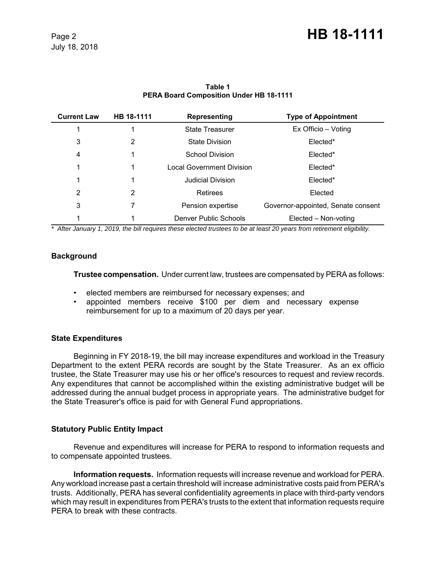| <b>Current Law</b> | HB 18-1111 | Representing                     | <b>Type of Appointment</b>         |
|--------------------|------------|----------------------------------|------------------------------------|
|                    |            | <b>State Treasurer</b>           | Ex Officio – Voting                |
| 3                  | 2          | <b>State Division</b>            | Elected*                           |
| 4                  |            | <b>School Division</b>           | Elected*                           |
|                    |            | <b>Local Government Division</b> | Elected*                           |
|                    |            | <b>Judicial Division</b>         | Elected*                           |
| 2                  | 2          | Retirees                         | Elected                            |
| 3                  |            | Pension expertise                | Governor-appointed, Senate consent |
|                    |            | Denver Public Schools            | Elected - Non-voting               |

## **Table 1 PERA Board Composition Under HB 18-1111**

*\* After January 1, 2019, the bill requires these elected trustees to be at least 20 years from retirement eligibility.*

## **Background**

**Trustee compensation.** Under current law, trustees are compensated by PERA as follows:

- elected members are reimbursed for necessary expenses; and
- appointed members receive \$100 per diem and necessary expense reimbursement for up to a maximum of 20 days per year.

## **State Expenditures**

Beginning in FY 2018-19, the bill may increase expenditures and workload in the Treasury Department to the extent PERA records are sought by the State Treasurer. As an ex officio trustee, the State Treasurer may use his or her office's resources to request and review records. Any expenditures that cannot be accomplished within the existing administrative budget will be addressed during the annual budget process in appropriate years. The administrative budget for the State Treasurer's office is paid for with General Fund appropriations.

## **Statutory Public Entity Impact**

Revenue and expenditures will increase for PERA to respond to information requests and to compensate appointed trustees.

**Information requests.** Information requests will increase revenue and workload for PERA. Any workload increase past a certain threshold will increase administrative costs paid from PERA's trusts. Additionally, PERA has several confidentiality agreements in place with third-party vendors which may result in expenditures from PERA's trusts to the extent that information requests require PERA to break with these contracts.